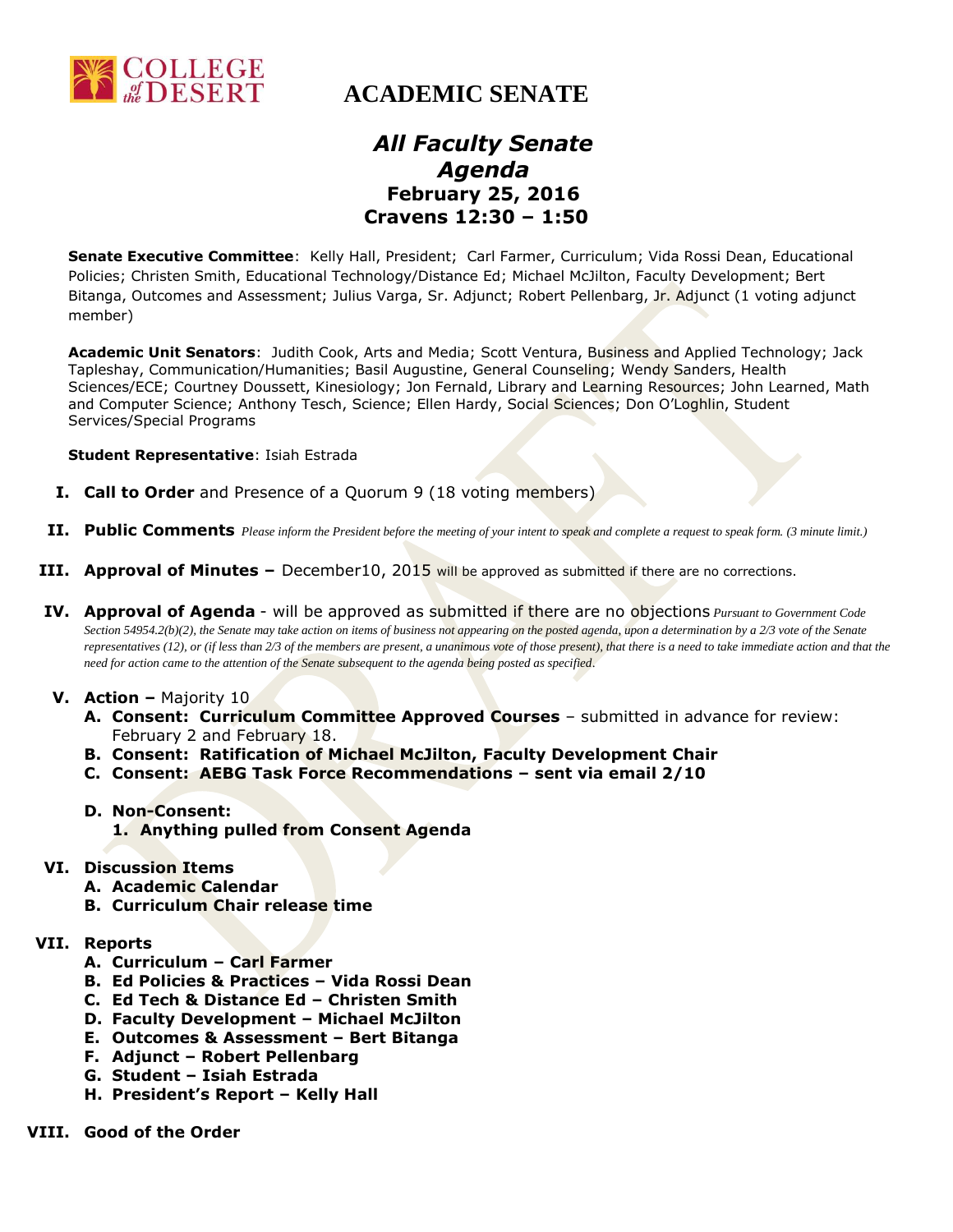

## *All Faculty Senate Agenda* **February 25, 2016 Cravens 12:30 – 1:50**

**Senate Executive Committee**: Kelly Hall, President; Carl Farmer, Curriculum; Vida Rossi Dean, Educational Policies; Christen Smith, Educational Technology/Distance Ed; Michael McJilton, Faculty Development; Bert Bitanga, Outcomes and Assessment; Julius Varga, Sr. Adjunct; Robert Pellenbarg, Jr. Adjunct (1 voting adjunct member)

**Academic Unit Senators**: Judith Cook, Arts and Media; Scott Ventura, Business and Applied Technology; Jack Tapleshay, Communication/Humanities; Basil Augustine, General Counseling; Wendy Sanders, Health Sciences/ECE; Courtney Doussett, Kinesiology; Jon Fernald, Library and Learning Resources; John Learned, Math and Computer Science; Anthony Tesch, Science; Ellen Hardy, Social Sciences; Don O'Loghlin, Student Services/Special Programs

**Student Representative**: Isiah Estrada

- **I. Call to Order** and Presence of a Quorum 9 (18 voting members)
- **II. Public Comments** *Please inform the President before the meeting of your intent to speak and complete a request to speak form. (3 minute limit.)*
- **III. Approval of Minutes –** December10, 2015 will be approved as submitted if there are no corrections.
- **IV. Approval of Agenda** will be approved as submitted if there are no objections *Pursuant to Government Code Section 54954.2(b)(2), the Senate may take action on items of business not appearing on the posted agenda, upon a determination by a 2/3 vote of the Senate representatives (12), or (if less than 2/3 of the members are present, a unanimous vote of those present), that there is a need to take immediate action and that the need for action came to the attention of the Senate subsequent to the agenda being posted as specified*.
- **V. Action –** Majority 10
	- **A. Consent: Curriculum Committee Approved Courses** submitted in advance for review: February 2 and February 18.
	- **B. Consent: Ratification of Michael McJilton, Faculty Development Chair**
	- **C. Consent: AEBG Task Force Recommendations – sent via email 2/10**
	- **D. Non-Consent:** 
		- **1. Anything pulled from Consent Agenda**
- **VI. Discussion Items**
	- **A. Academic Calendar**
	- **B. Curriculum Chair release time**
- **VII. Reports**
	- **A. Curriculum – Carl Farmer**
	- **B. Ed Policies & Practices – Vida Rossi Dean**
	- **C. Ed Tech & Distance Ed – Christen Smith**
	- **D. Faculty Development – Michael McJilton**
	- **E. Outcomes & Assessment – Bert Bitanga**
	- **F. Adjunct – Robert Pellenbarg**
	- **G. Student – Isiah Estrada**
	- **H. President's Report – Kelly Hall**
- **VIII. Good of the Order**